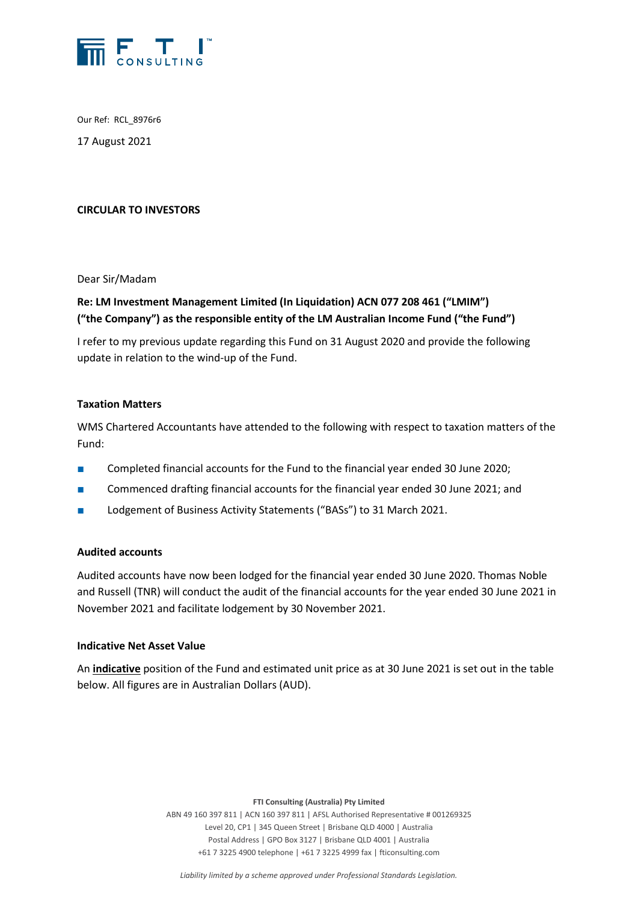

Our Ref: RCL\_8976r6

17 August 2021

## **CIRCULAR TO INVESTORS**

Dear Sir/Madam

# **Re: LM Investment Management Limited (In Liquidation) ACN 077 208 461 ("LMIM") ("the Company") as the responsible entity of the LM Australian Income Fund ("the Fund")**

I refer to my previous update regarding this Fund on 31 August 2020 and provide the following update in relation to the wind-up of the Fund.

### **Taxation Matters**

WMS Chartered Accountants have attended to the following with respect to taxation matters of the Fund:

- Completed financial accounts for the Fund to the financial year ended 30 June 2020;
- Commenced drafting financial accounts for the financial year ended 30 June 2021; and
- Lodgement of Business Activity Statements ("BASs") to 31 March 2021.

#### **Audited accounts**

Audited accounts have now been lodged for the financial year ended 30 June 2020. Thomas Noble and Russell (TNR) will conduct the audit of the financial accounts for the year ended 30 June 2021 in November 2021 and facilitate lodgement by 30 November 2021.

#### **Indicative Net Asset Value**

An **indicative** position of the Fund and estimated unit price as at 30 June 2021 is set out in the table below. All figures are in Australian Dollars (AUD).

**FTI Consulting (Australia) Pty Limited**

ABN 49 160 397 811 | ACN 160 397 811 | AFSL Authorised Representative # 001269325 Level 20, CP1 | 345 Queen Street | Brisbane QLD 4000 | Australia Postal Address | GPO Box 3127 | Brisbane QLD 4001 | Australia +61 7 3225 4900 telephone | +61 7 3225 4999 fax | fticonsulting.com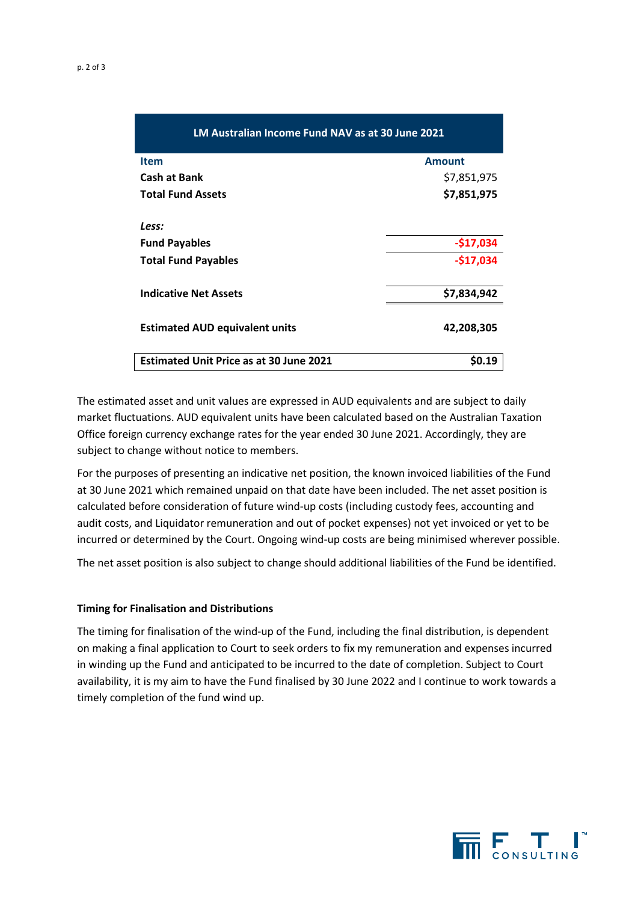| LM Australian Income Fund NAV as at 30 June 2021 |               |
|--------------------------------------------------|---------------|
| <b>Item</b>                                      | <b>Amount</b> |
| <b>Cash at Bank</b>                              | \$7,851,975   |
| <b>Total Fund Assets</b>                         | \$7,851,975   |
| Less:                                            |               |
| <b>Fund Payables</b>                             | $-$17,034$    |
| <b>Total Fund Payables</b>                       | $-$17,034$    |
| <b>Indicative Net Assets</b>                     | \$7,834,942   |
| <b>Estimated AUD equivalent units</b>            | 42,208,305    |
| <b>Estimated Unit Price as at 30 June 2021</b>   | \$0.19        |

The estimated asset and unit values are expressed in AUD equivalents and are subject to daily market fluctuations. AUD equivalent units have been calculated based on the Australian Taxation Office foreign currency exchange rates for the year ended 30 June 2021. Accordingly, they are subject to change without notice to members.

For the purposes of presenting an indicative net position, the known invoiced liabilities of the Fund at 30 June 2021 which remained unpaid on that date have been included. The net asset position is calculated before consideration of future wind-up costs (including custody fees, accounting and audit costs, and Liquidator remuneration and out of pocket expenses) not yet invoiced or yet to be incurred or determined by the Court. Ongoing wind-up costs are being minimised wherever possible.

The net asset position is also subject to change should additional liabilities of the Fund be identified.

#### **Timing for Finalisation and Distributions**

The timing for finalisation of the wind-up of the Fund, including the final distribution, is dependent on making a final application to Court to seek orders to fix my remuneration and expenses incurred in winding up the Fund and anticipated to be incurred to the date of completion. Subject to Court availability, it is my aim to have the Fund finalised by 30 June 2022 and I continue to work towards a timely completion of the fund wind up.